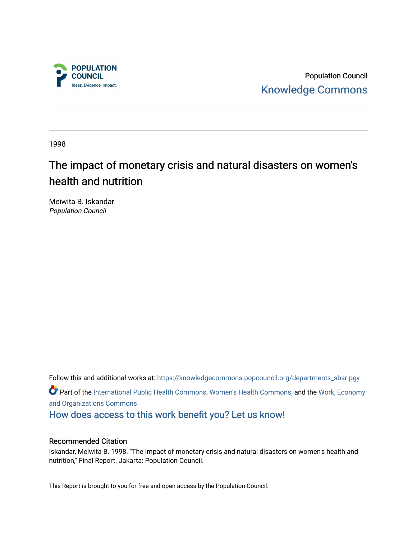

Population Council [Knowledge Commons](https://knowledgecommons.popcouncil.org/) 

1998

# The impact of monetary crisis and natural disasters on women's health and nutrition

Meiwita B. Iskandar Population Council

Follow this and additional works at: [https://knowledgecommons.popcouncil.org/departments\\_sbsr-pgy](https://knowledgecommons.popcouncil.org/departments_sbsr-pgy?utm_source=knowledgecommons.popcouncil.org%2Fdepartments_sbsr-pgy%2F1584&utm_medium=PDF&utm_campaign=PDFCoverPages)  Part of the [International Public Health Commons](https://network.bepress.com/hgg/discipline/746?utm_source=knowledgecommons.popcouncil.org%2Fdepartments_sbsr-pgy%2F1584&utm_medium=PDF&utm_campaign=PDFCoverPages), [Women's Health Commons,](https://network.bepress.com/hgg/discipline/1241?utm_source=knowledgecommons.popcouncil.org%2Fdepartments_sbsr-pgy%2F1584&utm_medium=PDF&utm_campaign=PDFCoverPages) and the [Work, Economy](https://network.bepress.com/hgg/discipline/433?utm_source=knowledgecommons.popcouncil.org%2Fdepartments_sbsr-pgy%2F1584&utm_medium=PDF&utm_campaign=PDFCoverPages) [and Organizations Commons](https://network.bepress.com/hgg/discipline/433?utm_source=knowledgecommons.popcouncil.org%2Fdepartments_sbsr-pgy%2F1584&utm_medium=PDF&utm_campaign=PDFCoverPages) [How does access to this work benefit you? Let us know!](https://pcouncil.wufoo.com/forms/open-access-to-population-council-research/)

#### Recommended Citation

Iskandar, Meiwita B. 1998. "The impact of monetary crisis and natural disasters on women's health and nutrition," Final Report. Jakarta: Population Council.

This Report is brought to you for free and open access by the Population Council.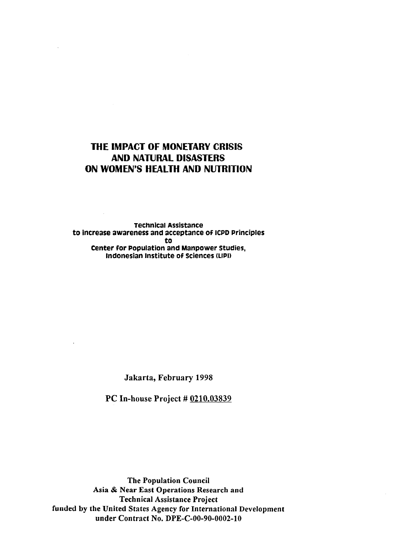# **THE IMPACT OF MONETARY CRISIS AND NATURAL DISASTERS ON WOMEN'S HEALTH AND NUTRITION**

**Technical Assistance to increase awareness and acceptance of ICPD Principles to Center for Population and Manpower Studies, Indonesian Institute of Sciences (LIPI)** 

**Jakarta, February 1998** 

**PC In-house Project # 0210.03839** 

**The Population Council Asia & Near East Operations Research and Technical Assistance Project funded by the United States Agency for International Development under Contract No. DPE-C-00-90-0002-10**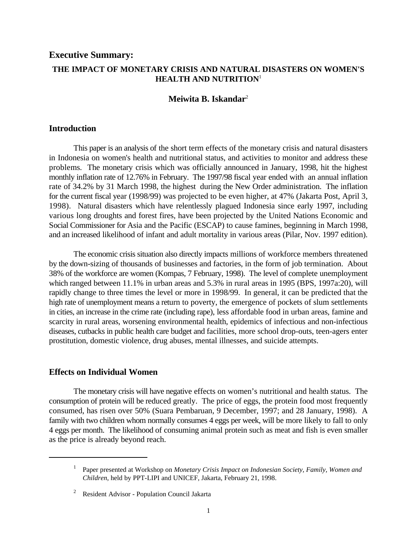# **Executive Summary: THE IMPACT OF MONETARY CRISIS AND NATURAL DISASTERS ON WOMEN'S HEALTH AND NUTRITION**<sup>1</sup>

## **Meiwita B. Iskandar**<sup>2</sup>

#### **Introduction**

This paper is an analysis of the short term effects of the monetary crisis and natural disasters in Indonesia on women's health and nutritional status, and activities to monitor and address these problems. The monetary crisis which was officially announced in January, 1998, hit the highest monthly inflation rate of 12.76% in February. The 1997/98 fiscal year ended with an annual inflation rate of 34.2% by 31 March 1998, the highest during the New Order administration. The inflation for the current fiscal year (1998/99) was projected to be even higher, at 47% (Jakarta Post, April 3, 1998). Natural disasters which have relentlessly plagued Indonesia since early 1997, including various long droughts and forest fires, have been projected by the United Nations Economic and Social Commissioner for Asia and the Pacific (ESCAP) to cause famines, beginning in March 1998, and an increased likelihood of infant and adult mortality in various areas (Pilar, Nov. 1997 edition).

The economic crisis situation also directly impacts millions of workforce members threatened by the down-sizing of thousands of businesses and factories, in the form of job termination. About 38% of the workforce are women (Kompas, 7 February, 1998). The level of complete unemployment which ranged between 11.1% in urban areas and 5.3% in rural areas in 1995 (BPS, 1997a:20), will rapidly change to three times the level or more in 1998/99. In general, it can be predicted that the high rate of unemployment means a return to poverty, the emergence of pockets of slum settlements in cities, an increase in the crime rate (including rape), less affordable food in urban areas, famine and scarcity in rural areas, worsening environmental health, epidemics of infectious and non-infectious diseases, cutbacks in public health care budget and facilities, more school drop-outs, teen-agers enter prostitution, domestic violence, drug abuses, mental illnesses, and suicide attempts.

#### **Effects on Individual Women**

The monetary crisis will have negative effects on women's nutritional and health status. The consumption of protein will be reduced greatly. The price of eggs, the protein food most frequently consumed, has risen over 50% (Suara Pembaruan, 9 December, 1997; and 28 January, 1998). A family with two children whom normally consumes 4 eggs per week, will be more likely to fall to only 4 eggs per month. The likelihood of consuming animal protein such as meat and fish is even smaller as the price is already beyond reach.

Paper presented at Workshop on *Monetary Crisis Impact on Indonesian Society, Family, Women and* <sup>1</sup> *Children*, held by PPT-LIPI and UNICEF, Jakarta, February 21, 1998.

<sup>&</sup>lt;sup>2</sup> Resident Advisor - Population Council Jakarta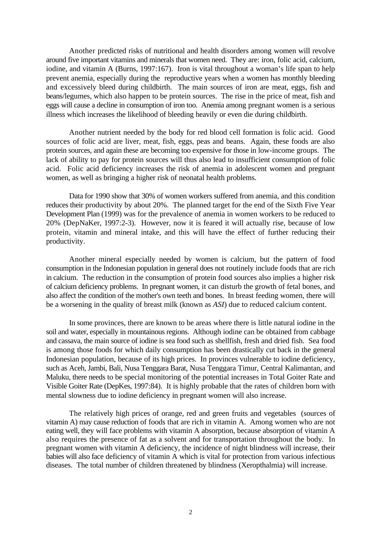Another predicted risks of nutritional and health disorders among women will revolve around five important vitamins and minerals that women need. They are: iron, folic acid, calcium, iodine, and vitamin A (Burns, 1997:167). Iron is vital throughout a woman's life span to help prevent anemia, especially during the reproductive years when a women has monthly bleeding and excessively bleed during childbirth. The main sources of iron are meat, eggs, fish and beans/legumes, which also happen to be protein sources. The rise in the price of meat, fish and eggs will cause a decline in consumption of iron too. Anemia among pregnant women is a serious illness which increases the likelihood of bleeding heavily or even die during childbirth.

Another nutrient needed by the body for red blood cell formation is folic acid. Good sources of folic acid are liver, meat, fish, eggs, peas and beans. Again, these foods are also protein sources, and again these are becoming too expensive for those in low-income groups. The lack of ability to pay for protein sources will thus also lead to insufficient consumption of folic acid. Folic acid deficiency increases the risk of anemia in adolescent women and pregnant women, as well as bringing a higher risk of neonatal health problems.

Data for 1990 show that 30% of women workers suffered from anemia, and this condition reduces their productivity by about 20%. The planned target for the end of the Sixth Five Year Development Plan (1999) was for the prevalence of anemia in women workers to be reduced to 20% (DepNaKer, 1997:2-3). However, now it is feared it will actually rise, because of low protein, vitamin and mineral intake, and this will have the effect of further reducing their productivity.

Another mineral especially needed by women is calcium, but the pattern of food consumption in the Indonesian population in general does not routinely include foods that are rich in calcium. The reduction in the consumption of protein food sources also implies a higher risk of calcium deficiency problems. In pregnant women, it can disturb the growth of fetal bones, and also affect the condition of the mother's own teeth and bones. In breast feeding women, there will be a worsening in the quality of breast milk (known as *ASI*) due to reduced calcium content.

In some provinces, there are known to be areas where there is little natural iodine in the soil and water, especially in mountainous regions. Although iodine can be obtained from cabbage and cassava, the main source of iodine is sea food such as shellfish, fresh and dried fish. Sea food is among those foods for which daily consumption has been drastically cut back in the general Indonesian population, because of its high prices. In provinces vulnerable to iodine deficiency, such as Aceh, Jambi, Bali, Nusa Tenggara Barat, Nusa Tenggara Timur, Central Kalimantan, and Maluku, there needs to be special monitoring of the potential increases in Total Goiter Rate and Visible Goiter Rate (DepKes, 1997:84). It is highly probable that the rates of children born with mental slowness due to iodine deficiency in pregnant women will also increase.

The relatively high prices of orange, red and green fruits and vegetables (sources of vitamin A) may cause reduction of foods that are rich in vitamin A. Among women who are not eating well, they will face problems with vitamin A absorption, because absorption of vitamin A also requires the presence of fat as a solvent and for transportation throughout the body. In pregnant women with vitamin A deficiency, the incidence of night blindness will increase, their babies will also face deficiency of vitamin A which is vital for protection from various infectious diseases. The total number of children threatened by blindness (Xeropthalmia) will increase.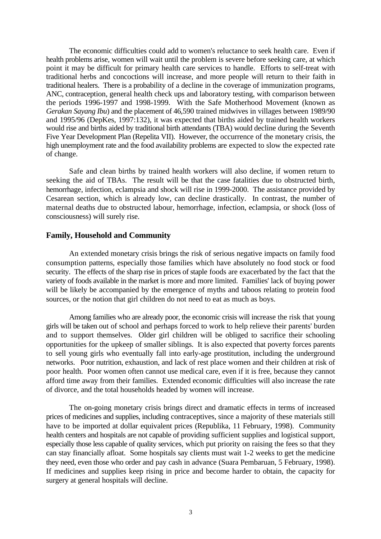The economic difficulties could add to women's reluctance to seek health care. Even if health problems arise, women will wait until the problem is severe before seeking care, at which point it may be difficult for primary health care services to handle. Efforts to self-treat with traditional herbs and concoctions will increase, and more people will return to their faith in traditional healers. There is a probability of a decline in the coverage of immunization programs, ANC, contraception, general health check ups and laboratory testing, with comparison between the periods 1996-1997 and 1998-1999. With the Safe Motherhood Movement (known as *Gerakan Sayang Ibu*) and the placement of 46,590 trained midwives in villages between 1989/90 and 1995/96 (DepKes, 1997:132), it was expected that births aided by trained health workers would rise and births aided by traditional birth attendants (TBA) would decline during the Seventh Five Year Development Plan (Repelita VII). However, the occurrence of the monetary crisis, the high unemployment rate and the food availability problems are expected to slow the expected rate of change.

Safe and clean births by trained health workers will also decline, if women return to seeking the aid of TBAs. The result will be that the case fatalities due to obstructed birth, hemorrhage, infection, eclampsia and shock will rise in 1999-2000. The assistance provided by Cesarean section, which is already low, can decline drastically. In contrast, the number of maternal deaths due to obstructed labour, hemorrhage, infection, eclampsia, or shock (loss of consciousness) will surely rise.

#### **Family, Household and Community**

An extended monetary crisis brings the risk of serious negative impacts on family food consumption patterns, especially those families which have absolutely no food stock or food security. The effects of the sharp rise in prices of staple foods are exacerbated by the fact that the variety of foods available in the market is more and more limited. Families' lack of buying power will be likely be accompanied by the emergence of myths and taboos relating to protein food sources, or the notion that girl children do not need to eat as much as boys.

Among families who are already poor, the economic crisis will increase the risk that young girls will be taken out of school and perhaps forced to work to help relieve their parents' burden and to support themselves. Older girl children will be obliged to sacrifice their schooling opportunities for the upkeep of smaller siblings. It is also expected that poverty forces parents to sell young girls who eventually fall into early-age prostitution, including the underground networks. Poor nutrition, exhaustion, and lack of rest place women and their children at risk of poor health. Poor women often cannot use medical care, even if it is free, because they cannot afford time away from their families. Extended economic difficulties will also increase the rate of divorce, and the total households headed by women will increase.

The on-going monetary crisis brings direct and dramatic effects in terms of increased prices of medicines and supplies, including contraceptives, since a majority of these materials still have to be imported at dollar equivalent prices (Republika, 11 February, 1998). Community health centers and hospitals are not capable of providing sufficient supplies and logistical support, especially those less capable of quality services, which put priority on raising the fees so that they can stay financially afloat. Some hospitals say clients must wait 1-2 weeks to get the medicine they need, even those who order and pay cash in advance (Suara Pembaruan, 5 February, 1998). If medicines and supplies keep rising in price and become harder to obtain, the capacity for surgery at general hospitals will decline.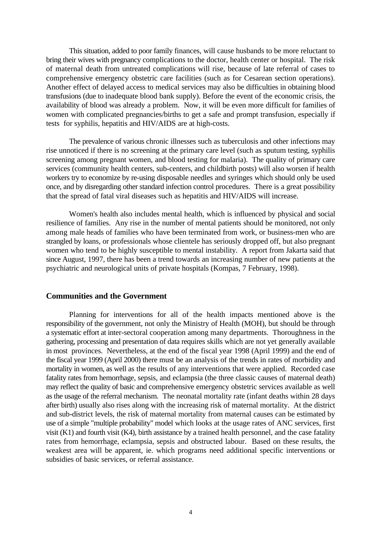This situation, added to poor family finances, will cause husbands to be more reluctant to bring their wives with pregnancy complications to the doctor, health center or hospital. The risk of maternal death from untreated complications will rise, because of late referral of cases to comprehensive emergency obstetric care facilities (such as for Cesarean section operations). Another effect of delayed access to medical services may also be difficulties in obtaining blood transfusions (due to inadequate blood bank supply). Before the event of the economic crisis, the availability of blood was already a problem. Now, it will be even more difficult for families of women with complicated pregnancies/births to get a safe and prompt transfusion, especially if tests for syphilis, hepatitis and HIV/AIDS are at high-costs.

The prevalence of various chronic illnesses such as tuberculosis and other infections may rise unnoticed if there is no screening at the primary care level (such as sputum testing, syphilis screening among pregnant women, and blood testing for malaria). The quality of primary care services (community health centers, sub-centers, and childbirth posts) will also worsen if health workers try to economize by re-using disposable needles and syringes which should only be used once, and by disregarding other standard infection control procedures. There is a great possibility that the spread of fatal viral diseases such as hepatitis and HIV/AIDS will increase.

Women's health also includes mental health, which is influenced by physical and social resilience of families. Any rise in the number of mental patients should be monitored, not only among male heads of families who have been terminated from work, or business-men who are strangled by loans, or professionals whose clientele has seriously dropped off, but also pregnant women who tend to be highly susceptible to mental instability. A report from Jakarta said that since August, 1997, there has been a trend towards an increasing number of new patients at the psychiatric and neurological units of private hospitals (Kompas, 7 February, 1998).

#### **Communities and the Government**

Planning for interventions for all of the health impacts mentioned above is the responsibility of the government, not only the Ministry of Health (MOH), but should be through a systematic effort at inter-sectoral cooperation among many departments. Thoroughness in the gathering, processing and presentation of data requires skills which are not yet generally available in most provinces. Nevertheless, at the end of the fiscal year 1998 (April 1999) and the end of the fiscal year 1999 (April 2000) there must be an analysis of the trends in rates of morbidity and mortality in women, as well as the results of any interventions that were applied. Recorded case fatality rates from hemorrhage, sepsis, and eclampsia (the three classic causes of maternal death) may reflect the quality of basic and comprehensive emergency obstetric services available as well as the usage of the referral mechanism. The neonatal mortality rate (infant deaths within 28 days after birth) usually also rises along with the increasing risk of maternal mortality. At the district and sub-district levels, the risk of maternal mortality from maternal causes can be estimated by use of a simple "multiple probability" model which looks at the usage rates of ANC services, first visit (K1) and fourth visit (K4), birth assistance by a trained health personnel, and the case fatality rates from hemorrhage, eclampsia, sepsis and obstructed labour. Based on these results, the weakest area will be apparent, ie. which programs need additional specific interventions or subsidies of basic services, or referral assistance.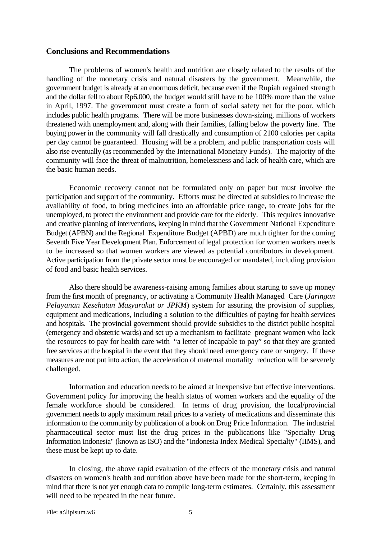#### **Conclusions and Recommendations**

The problems of women's health and nutrition are closely related to the results of the handling of the monetary crisis and natural disasters by the government. Meanwhile, the government budget is already at an enormous deficit, because even if the Rupiah regained strength and the dollar fell to about Rp6,000, the budget would still have to be 100% more than the value in April, 1997. The government must create a form of social safety net for the poor, which includes public health programs. There will be more businesses down-sizing, millions of workers threatened with unemployment and, along with their families, falling below the poverty line. The buying power in the community will fall drastically and consumption of 2100 calories per capita per day cannot be guaranteed. Housing will be a problem, and public transportation costs will also rise eventually (as recommended by the International Monetary Funds). The majority of the community will face the threat of malnutrition, homelessness and lack of health care, which are the basic human needs.

Economic recovery cannot not be formulated only on paper but must involve the participation and support of the community. Efforts must be directed at subsidies to increase the availability of food, to bring medicines into an affordable price range, to create jobs for the unemployed, to protect the environment and provide care for the elderly. This requires innovative and creative planning of interventions, keeping in mind that the Government National Expenditure Budget (APBN) and the Regional Expenditure Budget (APBD) are much tighter for the coming Seventh Five Year Development Plan. Enforcement of legal protection for women workers needs to be increased so that women workers are viewed as potential contributors in development. Active participation from the private sector must be encouraged or mandated, including provision of food and basic health services.

Also there should be awareness-raising among families about starting to save up money from the first month of pregnancy, or activating a Community Health Managed Care (*Jaringan Pelayanan Kesehatan Masyarakat or JPKM*) system for assuring the provision of supplies, equipment and medications, including a solution to the difficulties of paying for health services and hospitals. The provincial government should provide subsidies to the district public hospital (emergency and obstetric wards) and set up a mechanism to facilitate pregnant women who lack the resources to pay for health care with "a letter of incapable to pay" so that they are granted free services at the hospital in the event that they should need emergency care or surgery. If these measures are not put into action, the acceleration of maternal mortality reduction will be severely challenged.

Information and education needs to be aimed at inexpensive but effective interventions. Government policy for improving the health status of women workers and the equality of the female workforce should be considered. In terms of drug provision, the local/provincial government needs to apply maximum retail prices to a variety of medications and disseminate this information to the community by publication of a book on Drug Price Information. The industrial pharmaceutical sector must list the drug prices in the publications like "Specialty Drug Information Indonesia" (known as ISO) and the "Indonesia Index Medical Specialty" (IIMS), and these must be kept up to date.

In closing, the above rapid evaluation of the effects of the monetary crisis and natural disasters on women's health and nutrition above have been made for the short-term, keeping in mind that there is not yet enough data to compile long-term estimates. Certainly, this assessment will need to be repeated in the near future.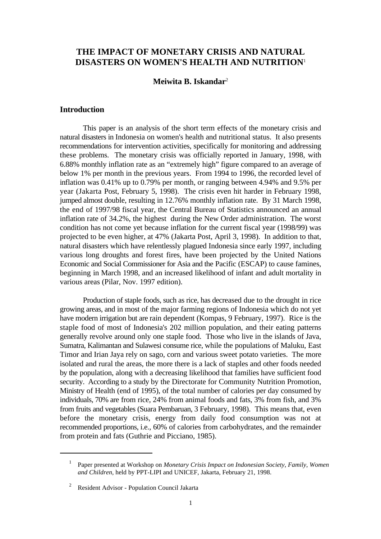## **THE IMPACT OF MONETARY CRISIS AND NATURAL DISASTERS ON WOMEN'S HEALTH AND NUTRITION**<sup>1</sup>

## **Meiwita B. Iskandar**<sup>2</sup>

#### **Introduction**

This paper is an analysis of the short term effects of the monetary crisis and natural disasters in Indonesia on women's health and nutritional status. It also presents recommendations for intervention activities, specifically for monitoring and addressing these problems. The monetary crisis was officially reported in January, 1998, with 6.88% monthly inflation rate as an "extremely high" figure compared to an average of below 1% per month in the previous years. From 1994 to 1996, the recorded level of inflation was 0.41% up to 0.79% per month, or ranging between 4.94% and 9.5% per year (Jakarta Post, February 5, 1998). The crisis even hit harder in February 1998, jumped almost double, resulting in 12.76% monthly inflation rate. By 31 March 1998, the end of 1997/98 fiscal year, the Central Bureau of Statistics announced an annual inflation rate of 34.2%, the highest during the New Order administration. The worst condition has not come yet because inflation for the current fiscal year (1998/99) was projected to be even higher, at 47% (Jakarta Post, April 3, 1998). In addition to that, natural disasters which have relentlessly plagued Indonesia since early 1997, including various long droughts and forest fires, have been projected by the United Nations Economic and Social Commissioner for Asia and the Pacific (ESCAP) to cause famines, beginning in March 1998, and an increased likelihood of infant and adult mortality in various areas (Pilar, Nov. 1997 edition).

Production of staple foods, such as rice, has decreased due to the drought in rice growing areas, and in most of the major farming regions of Indonesia which do not yet have modern irrigation but are rain dependent (Kompas, 9 February, 1997). Rice is the staple food of most of Indonesia's 202 million population, and their eating patterns generally revolve around only one staple food. Those who live in the islands of Java, Sumatra, Kalimantan and Sulawesi consume rice, while the populations of Maluku, East Timor and Irian Jaya rely on sago, corn and various sweet potato varieties. The more isolated and rural the areas, the more there is a lack of staples and other foods needed by the population, along with a decreasing likelihood that families have sufficient food security. According to a study by the Directorate for Community Nutrition Promotion, Ministry of Health (end of 1995), of the total number of calories per day consumed by individuals, 70% are from rice, 24% from animal foods and fats, 3% from fish, and 3% from fruits and vegetables (Suara Pembaruan, 3 February, 1998). This means that, even before the monetary crisis, energy from daily food consumption was not at recommended proportions, i.e., 60% of calories from carbohydrates, and the remainder from protein and fats (Guthrie and Picciano, 1985).

Paper presented at Workshop on *Monetary Crisis Impact on Indonesian Society, Family, Women* <sup>1</sup> *and Children*, held by PPT-LIPI and UNICEF, Jakarta, February 21, 1998.

<sup>&</sup>lt;sup>2</sup> Resident Advisor - Population Council Jakarta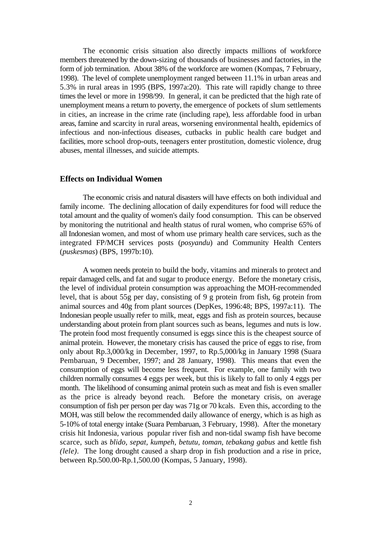The economic crisis situation also directly impacts millions of workforce members threatened by the down-sizing of thousands of businesses and factories, in the form of job termination. About 38% of the workforce are women (Kompas, 7 February, 1998). The level of complete unemployment ranged between 11.1% in urban areas and 5.3% in rural areas in 1995 (BPS, 1997a:20). This rate will rapidly change to three times the level or more in 1998/99. In general, it can be predicted that the high rate of unemployment means a return to poverty, the emergence of pockets of slum settlements in cities, an increase in the crime rate (including rape), less affordable food in urban areas, famine and scarcity in rural areas, worsening environmental health, epidemics of infectious and non-infectious diseases, cutbacks in public health care budget and facilities, more school drop-outs, teenagers enter prostitution, domestic violence, drug abuses, mental illnesses, and suicide attempts.

#### **Effects on Individual Women**

The economic crisis and natural disasters will have effects on both individual and family income. The declining allocation of daily expenditures for food will reduce the total amount and the quality of women's daily food consumption. This can be observed by monitoring the nutritional and health status of rural women, who comprise 65% of all Indonesian women, and most of whom use primary health care services, such as the integrated FP/MCH services posts (*posyandu*) and Community Health Centers (*puskesmas*) (BPS, 1997b:10).

A women needs protein to build the body, vitamins and minerals to protect and repair damaged cells, and fat and sugar to produce energy. Before the monetary crisis, the level of individual protein consumption was approaching the MOH-recommended level, that is about 55g per day, consisting of 9 g protein from fish, 6g protein from animal sources and 40g from plant sources (DepKes, 1996:48; BPS, 1997a:11). The Indonesian people usually refer to milk, meat, eggs and fish as protein sources, because understanding about protein from plant sources such as beans, legumes and nuts is low. The protein food most frequently consumed is eggs since this is the cheapest source of animal protein. However, the monetary crisis has caused the price of eggs to rise, from only about Rp.3,000/kg in December, 1997, to Rp.5,000/kg in January 1998 (Suara Pembaruan, 9 December, 1997; and 28 January, 1998). This means that even the consumption of eggs will become less frequent. For example, one family with two children normally consumes 4 eggs per week, but this is likely to fall to only 4 eggs per month. The likelihood of consuming animal protein such as meat and fish is even smaller as the price is already beyond reach. Before the monetary crisis, on average consumption of fish per person per day was 71g or 70 kcals. Even this, according to the MOH, was still below the recommended daily allowance of energy, which is as high as 5-10% of total energy intake (Suara Pembaruan, 3 February, 1998). After the monetary crisis hit Indonesia, various popular river fish and non-tidal swamp fish have become scarce, such as *blido, sepat, kumpeh, betutu, toman, tebakang gabus* and kettle fish *(lele)*. The long drought caused a sharp drop in fish production and a rise in price, between Rp.500.00-Rp.1,500.00 (Kompas, 5 January, 1998).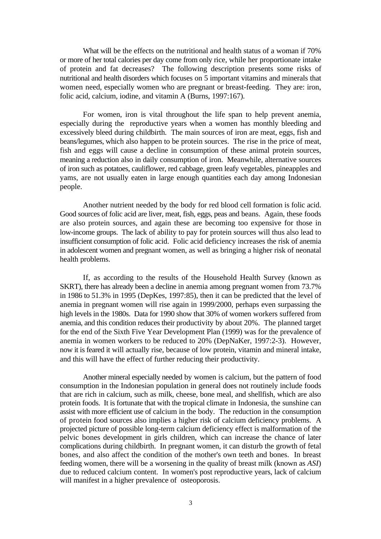What will be the effects on the nutritional and health status of a woman if 70% or more of her total calories per day come from only rice, while her proportionate intake of protein and fat decreases? The following description presents some risks of nutritional and health disorders which focuses on 5 important vitamins and minerals that women need, especially women who are pregnant or breast-feeding. They are: iron, folic acid, calcium, iodine, and vitamin A (Burns, 1997:167).

For women, iron is vital throughout the life span to help prevent anemia, especially during the reproductive years when a women has monthly bleeding and excessively bleed during childbirth. The main sources of iron are meat, eggs, fish and beans/legumes, which also happen to be protein sources. The rise in the price of meat, fish and eggs will cause a decline in consumption of these animal protein sources, meaning a reduction also in daily consumption of iron. Meanwhile, alternative sources of iron such as potatoes, cauliflower, red cabbage, green leafy vegetables, pineapples and yams, are not usually eaten in large enough quantities each day among Indonesian people.

Another nutrient needed by the body for red blood cell formation is folic acid. Good sources of folic acid are liver, meat, fish, eggs, peas and beans. Again, these foods are also protein sources, and again these are becoming too expensive for those in low-income groups. The lack of ability to pay for protein sources will thus also lead to insufficient consumption of folic acid. Folic acid deficiency increases the risk of anemia in adolescent women and pregnant women, as well as bringing a higher risk of neonatal health problems.

If, as according to the results of the Household Health Survey (known as SKRT), there has already been a decline in anemia among pregnant women from 73.7% in 1986 to 51.3% in 1995 (DepKes, 1997:85), then it can be predicted that the level of anemia in pregnant women will rise again in 1999/2000, perhaps even surpassing the high levels in the 1980s. Data for 1990 show that 30% of women workers suffered from anemia, and this condition reduces their productivity by about 20%. The planned target for the end of the Sixth Five Year Development Plan (1999) was for the prevalence of anemia in women workers to be reduced to 20% (DepNaKer, 1997:2-3). However, now it is feared it will actually rise, because of low protein, vitamin and mineral intake, and this will have the effect of further reducing their productivity.

Another mineral especially needed by women is calcium, but the pattern of food consumption in the Indonesian population in general does not routinely include foods that are rich in calcium, such as milk, cheese, bone meal, and shellfish, which are also protein foods. It is fortunate that with the tropical climate in Indonesia, the sunshine can assist with more efficient use of calcium in the body. The reduction in the consumption of protein food sources also implies a higher risk of calcium deficiency problems. A projected picture of possible long-term calcium deficiency effect is malformation of the pelvic bones development in girls children, which can increase the chance of later complications during childbirth. In pregnant women, it can disturb the growth of fetal bones, and also affect the condition of the mother's own teeth and bones. In breast feeding women, there will be a worsening in the quality of breast milk (known as *ASI*) due to reduced calcium content. In women's post reproductive years, lack of calcium will manifest in a higher prevalence of osteoporosis.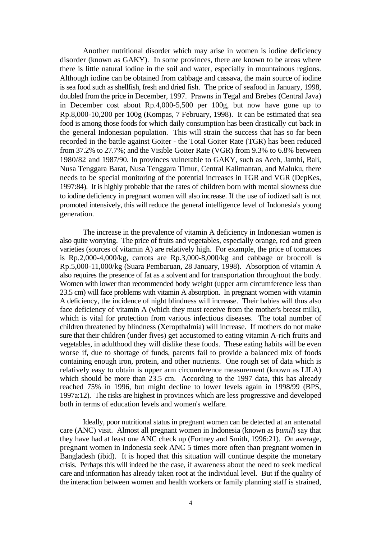Another nutritional disorder which may arise in women is iodine deficiency disorder (known as GAKY). In some provinces, there are known to be areas where there is little natural iodine in the soil and water, especially in mountainous regions. Although iodine can be obtained from cabbage and cassava, the main source of iodine is sea food such as shellfish, fresh and dried fish. The price of seafood in January, 1998, doubled from the price in December, 1997. Prawns in Tegal and Brebes (Central Java) in December cost about Rp.4,000-5,500 per 100g, but now have gone up to Rp.8,000-10,200 per 100g (Kompas, 7 February, 1998). It can be estimated that sea food is among those foods for which daily consumption has been drastically cut back in the general Indonesian population. This will strain the success that has so far been recorded in the battle against Goiter - the Total Goiter Rate (TGR) has been reduced from 37.2% to 27.7%; and the Visible Goiter Rate (VGR) from 9.3% to 6.8% between 1980/82 and 1987/90. In provinces vulnerable to GAKY, such as Aceh, Jambi, Bali, Nusa Tenggara Barat, Nusa Tenggara Timur, Central Kalimantan, and Maluku, there needs to be special monitoring of the potential increases in TGR and VGR (DepKes, 1997:84). It is highly probable that the rates of children born with mental slowness due to iodine deficiency in pregnant women will also increase. If the use of iodized salt is not promoted intensively, this will reduce the general intelligence level of Indonesia's young generation.

The increase in the prevalence of vitamin A deficiency in Indonesian women is also quite worrying. The price of fruits and vegetables, especially orange, red and green varieties (sources of vitamin A) are relatively high. For example, the price of tomatoes is Rp.2,000-4,000/kg, carrots are Rp.3,000-8,000/kg and cabbage or broccoli is Rp.5,000-11,000/kg (Suara Pembaruan, 28 January, 1998). Absorption of vitamin A also requires the presence of fat as a solvent and for transportation throughout the body. Women with lower than recommended body weight (upper arm circumference less than 23.5 cm) will face problems with vitamin A absorption. In pregnant women with vitamin A deficiency, the incidence of night blindness will increase. Their babies will thus also face deficiency of vitamin A (which they must receive from the mother's breast milk), which is vital for protection from various infectious diseases. The total number of children threatened by blindness (Xeropthalmia) will increase. If mothers do not make sure that their children (under fives) get accustomed to eating vitamin A-rich fruits and vegetables, in adulthood they will dislike these foods. These eating habits will be even worse if, due to shortage of funds, parents fail to provide a balanced mix of foods containing enough iron, protein, and other nutrients. One rough set of data which is relatively easy to obtain is upper arm circumference measurement (known as LILA) which should be more than 23.5 cm. According to the 1997 data, this has already reached 75% in 1996, but might decline to lower levels again in 1998/99 (BPS, 1997a:12). The risks are highest in provinces which are less progressive and developed both in terms of education levels and women's welfare.

Ideally, poor nutritional status in pregnant women can be detected at an antenatal care (ANC) visit. Almost all pregnant women in Indonesia (known as *bumil*) say that they have had at least one ANC check up (Fortney and Smith, 1996:21). On average, pregnant women in Indonesia seek ANC 5 times more often than pregnant women in Bangladesh (ibid). It is hoped that this situation will continue despite the monetary crisis. Perhaps this will indeed be the case, if awareness about the need to seek medical care and information has already taken root at the individual level. But if the quality of the interaction between women and health workers or family planning staff is strained,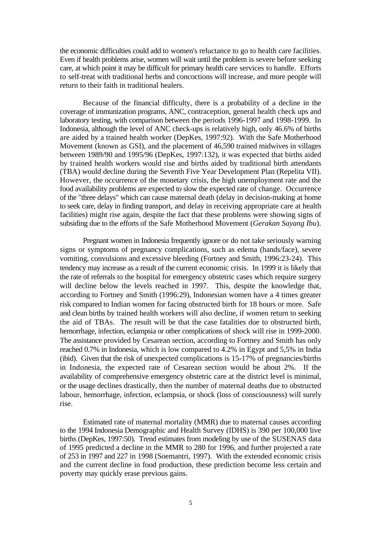the economic difficulties could add to women's reluctance to go to health care facilities. Even if health problems arise, women will wait until the problem is severe before seeking care, at which point it may be difficult for primary health care services to handle. Efforts to self-treat with traditional herbs and concoctions will increase, and more people will return to their faith in traditional healers.

Because of the financial difficulty, there is a probability of a decline in the coverage of immunization programs, ANC, contraception, general health check ups and laboratory testing, with comparison between the periods 1996-1997 and 1998-1999. In Indonesia, although the level of ANC check-ups is relatively high, only 46.6% of births are aided by a trained health worker (DepKes, 1997:92). With the Safe Motherhood Movement (known as GSI), and the placement of 46,590 trained midwives in villages between 1989/90 and 1995/96 (DepKes, 1997:132), it was expected that births aided by trained health workers would rise and births aided by traditional birth attendants (TBA) would decline during the Seventh Five Year Development Plan (Repelita VII). However, the occurrence of the monetary crisis, the high unemployment rate and the food availability problems are expected to slow the expected rate of change. Occurrence of the "three delays" which can cause maternal death (delay in decision-making at home to seek care, delay in finding transport, and delay in receiving appropriate care at health facilities) might rise again, despite the fact that these problems were showing signs of subsiding due to the efforts of the Safe Motherhood Movement (*Gerakan Sayang Ibu*).

Pregnant women in Indonesia frequently ignore or do not take seriously warning signs or symptoms of pregnancy complications, such as edema (hands/face), severe vomiting, convulsions and excessive bleeding (Fortney and Smith, 1996:23-24). This tendency may increase as a result of the current economic crisis. In 1999 it is likely that the rate of referrals to the hospital for emergency obstetric cases which require surgery will decline below the levels reached in 1997. This, despite the knowledge that, according to Fortney and Smith (1996:29), Indonesian women have a 4 times greater risk compared to Indian women for facing obstructed birth for 18 hours or more. Safe and clean births by trained health workers will also decline, if women return to seeking the aid of TBAs. The result will be that the case fatalities due to obstructed birth, hemorrhage, infection, eclampsia or other complications of shock will rise in 1999-2000. The assistance provided by Cesarean section, according to Fortney and Smith has only reached 0.7% in Indonesia, which is low compared to 4.2% in Egypt and 5,5% in India (ibid). Given that the risk of unexpected complications is 15-17% of pregnancies/births in Indonesia, the expected rate of Cesarean section would be about 2%. If the availability of comprehensive emergency obstetric care at the district level is minimal, or the usage declines drastically, then the number of maternal deaths due to obstructed labour, hemorrhage, infection, eclampsia, or shock (loss of consciousness) will surely rise.

Estimated rate of maternal mortality (MMR) due to maternal causes according to the 1994 Indonesia Demographic and Health Survey (IDHS) is 390 per 100,000 live births (DepKes, 1997:50). Trend estimates from modeling by use of the SUSENAS data of 1995 predicted a decline in the MMR to 280 for 1996, and further projected a rate of 253 in 1997 and 227 in 1998 (Soemantri, 1997). With the extended economic crisis and the current decline in food production, these prediction become less certain and poverty may quickly erase previous gains.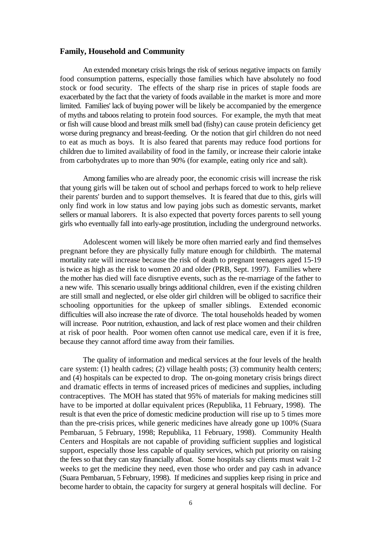#### **Family, Household and Community**

An extended monetary crisis brings the risk of serious negative impacts on family food consumption patterns, especially those families which have absolutely no food stock or food security. The effects of the sharp rise in prices of staple foods are exacerbated by the fact that the variety of foods available in the market is more and more limited. Families' lack of buying power will be likely be accompanied by the emergence of myths and taboos relating to protein food sources. For example, the myth that meat or fish will cause blood and breast milk smell bad (fishy) can cause protein deficiency get worse during pregnancy and breast-feeding. Or the notion that girl children do not need to eat as much as boys. It is also feared that parents may reduce food portions for children due to limited availability of food in the family, or increase their calorie intake from carbohydrates up to more than 90% (for example, eating only rice and salt).

Among families who are already poor, the economic crisis will increase the risk that young girls will be taken out of school and perhaps forced to work to help relieve their parents' burden and to support themselves. It is feared that due to this, girls will only find work in low status and low paying jobs such as domestic servants, market sellers or manual laborers. It is also expected that poverty forces parents to sell young girls who eventually fall into early-age prostitution, including the underground networks.

Adolescent women will likely be more often married early and find themselves pregnant before they are physically fully mature enough for childbirth. The maternal mortality rate will increase because the risk of death to pregnant teenagers aged 15-19 is twice as high as the risk to women 20 and older (PRB, Sept. 1997). Families where the mother has died will face disruptive events, such as the re-marriage of the father to a new wife. This scenario usually brings additional children, even if the existing children are still small and neglected, or else older girl children will be obliged to sacrifice their schooling opportunities for the upkeep of smaller siblings. Extended economic difficulties will also increase the rate of divorce. The total households headed by women will increase. Poor nutrition, exhaustion, and lack of rest place women and their children at risk of poor health. Poor women often cannot use medical care, even if it is free, because they cannot afford time away from their families.

The quality of information and medical services at the four levels of the health care system: (1) health cadres; (2) village health posts; (3) community health centers; and (4) hospitals can be expected to drop. The on-going monetary crisis brings direct and dramatic effects in terms of increased prices of medicines and supplies, including contraceptives. The MOH has stated that 95% of materials for making medicines still have to be imported at dollar equivalent prices (Republika, 11 February, 1998). The result is that even the price of domestic medicine production will rise up to 5 times more than the pre-crisis prices, while generic medicines have already gone up 100% (Suara Pembaruan, 5 February, 1998; Republika, 11 February, 1998). Community Health Centers and Hospitals are not capable of providing sufficient supplies and logistical support, especially those less capable of quality services, which put priority on raising the fees so that they can stay financially afloat. Some hospitals say clients must wait 1-2 weeks to get the medicine they need, even those who order and pay cash in advance (Suara Pembaruan, 5 February, 1998). If medicines and supplies keep rising in price and become harder to obtain, the capacity for surgery at general hospitals will decline. For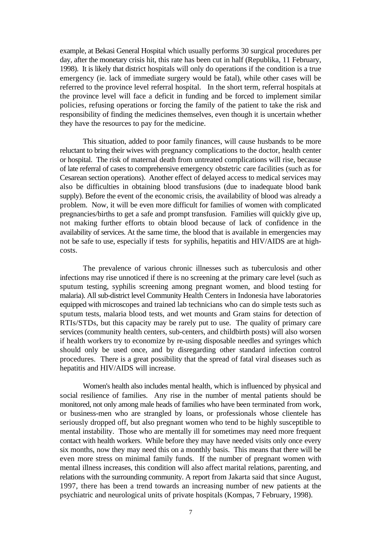example, at Bekasi General Hospital which usually performs 30 surgical procedures per day, after the monetary crisis hit, this rate has been cut in half (Republika, 11 February, 1998). It is likely that district hospitals will only do operations if the condition is a true emergency (ie. lack of immediate surgery would be fatal), while other cases will be referred to the province level referral hospital. In the short term, referral hospitals at the province level will face a deficit in funding and be forced to implement similar policies, refusing operations or forcing the family of the patient to take the risk and responsibility of finding the medicines themselves, even though it is uncertain whether they have the resources to pay for the medicine.

This situation, added to poor family finances, will cause husbands to be more reluctant to bring their wives with pregnancy complications to the doctor, health center or hospital. The risk of maternal death from untreated complications will rise, because of late referral of cases to comprehensive emergency obstetric care facilities (such as for Cesarean section operations). Another effect of delayed access to medical services may also be difficulties in obtaining blood transfusions (due to inadequate blood bank supply). Before the event of the economic crisis, the availability of blood was already a problem. Now, it will be even more difficult for families of women with complicated pregnancies/births to get a safe and prompt transfusion. Families will quickly give up, not making further efforts to obtain blood because of lack of confidence in the availability of services. At the same time, the blood that is available in emergencies may not be safe to use, especially if tests for syphilis, hepatitis and HIV/AIDS are at highcosts.

The prevalence of various chronic illnesses such as tuberculosis and other infections may rise unnoticed if there is no screening at the primary care level (such as sputum testing, syphilis screening among pregnant women, and blood testing for malaria). All sub-district level Community Health Centers in Indonesia have laboratories equipped with microscopes and trained lab technicians who can do simple tests such as sputum tests, malaria blood tests, and wet mounts and Gram stains for detection of RTIs/STDs, but this capacity may be rarely put to use. The quality of primary care services (community health centers, sub-centers, and childbirth posts) will also worsen if health workers try to economize by re-using disposable needles and syringes which should only be used once, and by disregarding other standard infection control procedures. There is a great possibility that the spread of fatal viral diseases such as hepatitis and HIV/AIDS will increase.

Women's health also includes mental health, which is influenced by physical and social resilience of families. Any rise in the number of mental patients should be monitored, not only among male heads of families who have been terminated from work, or business-men who are strangled by loans, or professionals whose clientele has seriously dropped off, but also pregnant women who tend to be highly susceptible to mental instability. Those who are mentally ill for sometimes may need more frequent contact with health workers. While before they may have needed visits only once every six months, now they may need this on a monthly basis. This means that there will be even more stress on minimal family funds. If the number of pregnant women with mental illness increases, this condition will also affect marital relations, parenting, and relations with the surrounding community. A report from Jakarta said that since August, 1997, there has been a trend towards an increasing number of new patients at the psychiatric and neurological units of private hospitals (Kompas, 7 February, 1998).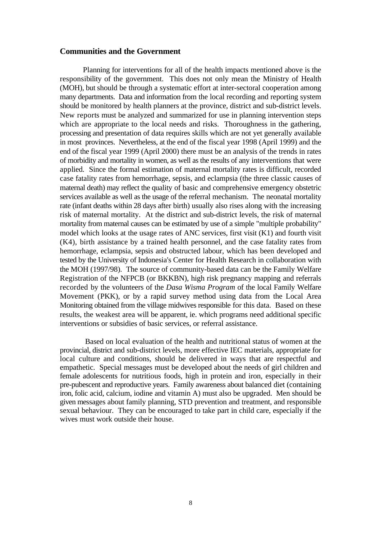#### **Communities and the Government**

Planning for interventions for all of the health impacts mentioned above is the responsibility of the government. This does not only mean the Ministry of Health (MOH), but should be through a systematic effort at inter-sectoral cooperation among many departments. Data and information from the local recording and reporting system should be monitored by health planners at the province, district and sub-district levels. New reports must be analyzed and summarized for use in planning intervention steps which are appropriate to the local needs and risks. Thoroughness in the gathering, processing and presentation of data requires skills which are not yet generally available in most provinces. Nevertheless, at the end of the fiscal year 1998 (April 1999) and the end of the fiscal year 1999 (April 2000) there must be an analysis of the trends in rates of morbidity and mortality in women, as well as the results of any interventions that were applied. Since the formal estimation of maternal mortality rates is difficult, recorded case fatality rates from hemorrhage, sepsis, and eclampsia (the three classic causes of maternal death) may reflect the quality of basic and comprehensive emergency obstetric services available as well as the usage of the referral mechanism. The neonatal mortality rate (infant deaths within 28 days after birth) usually also rises along with the increasing risk of maternal mortality. At the district and sub-district levels, the risk of maternal mortality from maternal causes can be estimated by use of a simple "multiple probability" model which looks at the usage rates of ANC services, first visit (K1) and fourth visit (K4), birth assistance by a trained health personnel, and the case fatality rates from hemorrhage, eclampsia, sepsis and obstructed labour, which has been developed and tested by the University of Indonesia's Center for Health Research in collaboration with the MOH (1997/98). The source of community-based data can be the Family Welfare Registration of the NFPCB (or BKKBN), high risk pregnancy mapping and referrals recorded by the volunteers of the *Dasa Wisma Program* of the local Family Welfare Movement (PKK), or by a rapid survey method using data from the Local Area Monitoring obtained from the village midwives responsible for this data. Based on these results, the weakest area will be apparent, ie. which programs need additional specific interventions or subsidies of basic services, or referral assistance.

 Based on local evaluation of the health and nutritional status of women at the provincial, district and sub-district levels, more effective IEC materials, appropriate for local culture and conditions, should be delivered in ways that are respectful and empathetic. Special messages must be developed about the needs of girl children and female adolescents for nutritious foods, high in protein and iron, especially in their pre-pubescent and reproductive years. Family awareness about balanced diet (containing iron, folic acid, calcium, iodine and vitamin A) must also be upgraded. Men should be given messages about family planning, STD prevention and treatment, and responsible sexual behaviour. They can be encouraged to take part in child care, especially if the wives must work outside their house.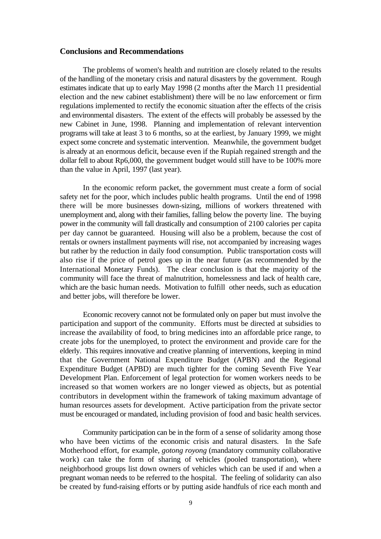#### **Conclusions and Recommendations**

The problems of women's health and nutrition are closely related to the results of the handling of the monetary crisis and natural disasters by the government. Rough estimates indicate that up to early May 1998 (2 months after the March 11 presidential election and the new cabinet establishment) there will be no law enforcement or firm regulations implemented to rectify the economic situation after the effects of the crisis and environmental disasters. The extent of the effects will probably be assessed by the new Cabinet in June, 1998. Planning and implementation of relevant intervention programs will take at least 3 to 6 months, so at the earliest, by January 1999, we might expect some concrete and systematic intervention. Meanwhile, the government budget is already at an enormous deficit, because even if the Rupiah regained strength and the dollar fell to about Rp6,000, the government budget would still have to be 100% more than the value in April, 1997 (last year).

In the economic reform packet, the government must create a form of social safety net for the poor, which includes public health programs. Until the end of 1998 there will be more businesses down-sizing, millions of workers threatened with unemployment and, along with their families, falling below the poverty line. The buying power in the community will fall drastically and consumption of 2100 calories per capita per day cannot be guaranteed. Housing will also be a problem, because the cost of rentals or owners installment payments will rise, not accompanied by increasing wages but rather by the reduction in daily food consumption. Public transportation costs will also rise if the price of petrol goes up in the near future (as recommended by the International Monetary Funds). The clear conclusion is that the majority of the community will face the threat of malnutrition, homelessness and lack of health care, which are the basic human needs. Motivation to fulfill other needs, such as education and better jobs, will therefore be lower.

Economic recovery cannot not be formulated only on paper but must involve the participation and support of the community. Efforts must be directed at subsidies to increase the availability of food, to bring medicines into an affordable price range, to create jobs for the unemployed, to protect the environment and provide care for the elderly. This requires innovative and creative planning of interventions, keeping in mind that the Government National Expenditure Budget (APBN) and the Regional Expenditure Budget (APBD) are much tighter for the coming Seventh Five Year Development Plan. Enforcement of legal protection for women workers needs to be increased so that women workers are no longer viewed as objects, but as potential contributors in development within the framework of taking maximum advantage of human resources assets for development. Active participation from the private sector must be encouraged or mandated, including provision of food and basic health services.

Community participation can be in the form of a sense of solidarity among those who have been victims of the economic crisis and natural disasters. In the Safe Motherhood effort, for example, *gotong royong* (mandatory community collaborative work) can take the form of sharing of vehicles (pooled transportation), where neighborhood groups list down owners of vehicles which can be used if and when a pregnant woman needs to be referred to the hospital. The feeling of solidarity can also be created by fund-raising efforts or by putting aside handfuls of rice each month and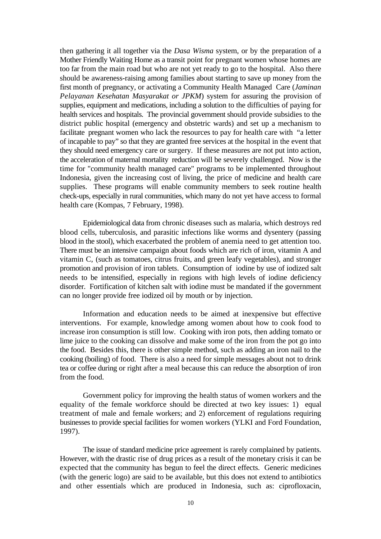then gathering it all together via the *Dasa Wisma* system, or by the preparation of a Mother Friendly Waiting Home as a transit point for pregnant women whose homes are too far from the main road but who are not yet ready to go to the hospital. Also there should be awareness-raising among families about starting to save up money from the first month of pregnancy, or activating a Community Health Managed Care (*Jaminan Pelayanan Kesehatan Masyarakat or JPKM*) system for assuring the provision of supplies, equipment and medications, including a solution to the difficulties of paying for health services and hospitals. The provincial government should provide subsidies to the district public hospital (emergency and obstetric wards) and set up a mechanism to facilitate pregnant women who lack the resources to pay for health care with "a letter of incapable to pay" so that they are granted free services at the hospital in the event that they should need emergency care or surgery. If these measures are not put into action, the acceleration of maternal mortality reduction will be severely challenged. Now is the time for "community health managed care" programs to be implemented throughout Indonesia, given the increasing cost of living, the price of medicine and health care supplies. These programs will enable community members to seek routine health check-ups, especially in rural communities, which many do not yet have access to formal health care (Kompas, 7 February, 1998).

Epidemiological data from chronic diseases such as malaria, which destroys red blood cells, tuberculosis, and parasitic infections like worms and dysentery (passing blood in the stool), which exacerbated the problem of anemia need to get attention too. There must be an intensive campaign about foods which are rich of iron, vitamin A and vitamin C, (such as tomatoes, citrus fruits, and green leafy vegetables), and stronger promotion and provision of iron tablets. Consumption of iodine by use of iodized salt needs to be intensified, especially in regions with high levels of iodine deficiency disorder. Fortification of kitchen salt with iodine must be mandated if the government can no longer provide free iodized oil by mouth or by injection.

Information and education needs to be aimed at inexpensive but effective interventions. For example, knowledge among women about how to cook food to increase iron consumption is still low. Cooking with iron pots, then adding tomato or lime juice to the cooking can dissolve and make some of the iron from the pot go into the food. Besides this, there is other simple method, such as adding an iron nail to the cooking (boiling) of food. There is also a need for simple messages about not to drink tea or coffee during or right after a meal because this can reduce the absorption of iron from the food.

Government policy for improving the health status of women workers and the equality of the female workforce should be directed at two key issues: 1) equal treatment of male and female workers; and 2) enforcement of regulations requiring businesses to provide special facilities for women workers (YLKI and Ford Foundation, 1997).

The issue of standard medicine price agreement is rarely complained by patients. However, with the drastic rise of drug prices as a result of the monetary crisis it can be expected that the community has begun to feel the direct effects. Generic medicines (with the generic logo) are said to be available, but this does not extend to antibiotics and other essentials which are produced in Indonesia, such as: ciprofloxacin,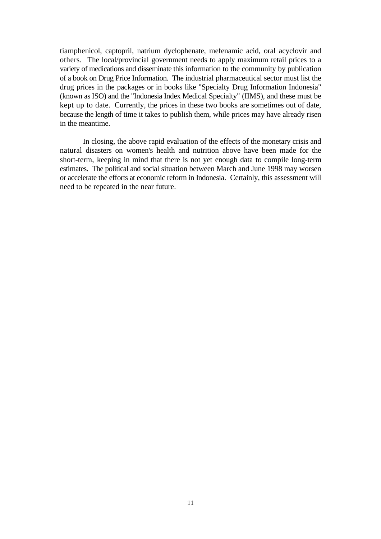tiamphenicol, captopril, natrium dyclophenate, mefenamic acid, oral acyclovir and others. The local/provincial government needs to apply maximum retail prices to a variety of medications and disseminate this information to the community by publication of a book on Drug Price Information. The industrial pharmaceutical sector must list the drug prices in the packages or in books like "Specialty Drug Information Indonesia" (known as ISO) and the "Indonesia Index Medical Specialty" (IIMS), and these must be kept up to date. Currently, the prices in these two books are sometimes out of date, because the length of time it takes to publish them, while prices may have already risen in the meantime.

In closing, the above rapid evaluation of the effects of the monetary crisis and natural disasters on women's health and nutrition above have been made for the short-term, keeping in mind that there is not yet enough data to compile long-term estimates. The political and social situation between March and June 1998 may worsen or accelerate the efforts at economic reform in Indonesia. Certainly, this assessment will need to be repeated in the near future.